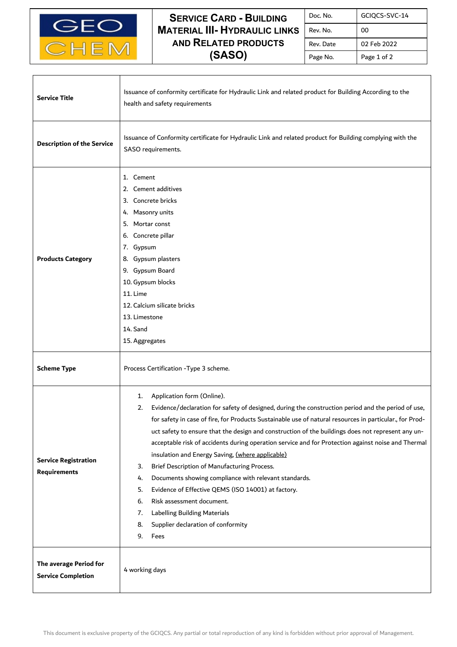

 $\mathbf{I}$ 

Г

## **SERVICE CARD - BUILDING MATERIAL III- HYDRAULIC LINKS AND RELATED PRODUCTS (SASO)**

| Doc. No.  | GCIQCS-SVC-14 |
|-----------|---------------|
| Rev. No.  | 00            |
| Rev. Date | 02 Feb 2022   |
| Page No.  | Page 1 of 2   |

Π

| <b>Service Title</b>                                | Issuance of conformity certificate for Hydraulic Link and related product for Building According to the<br>health and safety requirements                                                                                                                                                                                                                                                                                                                                                                                                                                                                                                                                                                                                                                                                                                 |  |
|-----------------------------------------------------|-------------------------------------------------------------------------------------------------------------------------------------------------------------------------------------------------------------------------------------------------------------------------------------------------------------------------------------------------------------------------------------------------------------------------------------------------------------------------------------------------------------------------------------------------------------------------------------------------------------------------------------------------------------------------------------------------------------------------------------------------------------------------------------------------------------------------------------------|--|
| <b>Description of the Service</b>                   | Issuance of Conformity certificate for Hydraulic Link and related product for Building complying with the<br>SASO requirements.                                                                                                                                                                                                                                                                                                                                                                                                                                                                                                                                                                                                                                                                                                           |  |
| <b>Products Category</b>                            | 1. Cement<br>Cement additives<br>2.<br>Concrete bricks<br>3.<br>4. Masonry units<br>Mortar const<br>5.<br>Concrete pillar<br>6.<br>7. Gypsum<br>8. Gypsum plasters<br>9. Gypsum Board<br>10. Gypsum blocks<br>11. Lime<br>12. Calcium silicate bricks<br>13. Limestone<br>14. Sand<br>15. Aggregates                                                                                                                                                                                                                                                                                                                                                                                                                                                                                                                                      |  |
| <b>Scheme Type</b>                                  | Process Certification - Type 3 scheme.                                                                                                                                                                                                                                                                                                                                                                                                                                                                                                                                                                                                                                                                                                                                                                                                    |  |
| <b>Service Registration</b><br><b>Requirements</b>  | Application form (Online).<br>1.<br>Evidence/declaration for safety of designed, during the construction period and the period of use,<br>2.<br>for safety in case of fire, for Products Sustainable use of natural resources in particular., for Prod-<br>uct safety to ensure that the design and construction of the buildings does not represent any un-<br>acceptable risk of accidents during operation service and for Protection against noise and Thermal<br>insulation and Energy Saving, (where applicable)<br>Brief Description of Manufacturing Process.<br>3.<br>Documents showing compliance with relevant standards.<br>4.<br>Evidence of Effective QEMS (ISO 14001) at factory.<br>5.<br>Risk assessment document.<br>6.<br>Labelling Building Materials<br>7.<br>Supplier declaration of conformity<br>8.<br>9.<br>Fees |  |
| The average Period for<br><b>Service Completion</b> | 4 working days                                                                                                                                                                                                                                                                                                                                                                                                                                                                                                                                                                                                                                                                                                                                                                                                                            |  |